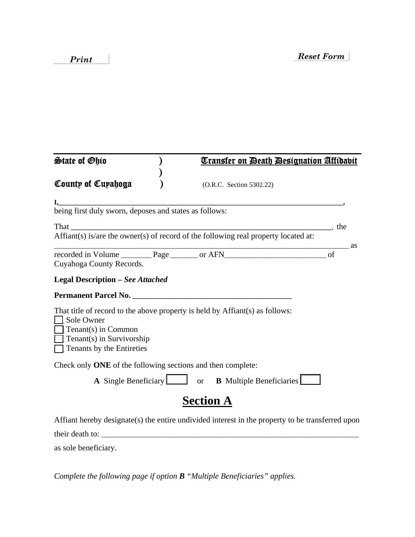| <b>State of Ohio</b>                                                                                      | <u> Transfer on Death Designation Affidabit</u>                                                  |       |  |
|-----------------------------------------------------------------------------------------------------------|--------------------------------------------------------------------------------------------------|-------|--|
| County of Cuyahoga                                                                                        | (O.R.C. Section 5302.22)                                                                         |       |  |
|                                                                                                           |                                                                                                  |       |  |
| being first duly sworn, deposes and states as follows:                                                    |                                                                                                  |       |  |
|                                                                                                           |                                                                                                  |       |  |
|                                                                                                           | Affiant(s) is/are the owner(s) of record of the following real property located at:              |       |  |
| Cuyahoga County Records.                                                                                  |                                                                                                  | as as |  |
| <b>Legal Description - See Attached</b>                                                                   |                                                                                                  |       |  |
| Permanent Parcel No.                                                                                      |                                                                                                  |       |  |
| Sole Owner<br>$\Box$ Tenant(s) in Common<br>$\Box$ Tenant(s) in Survivorship<br>Tenants by the Entireties | That title of record to the above property is held by Affiant(s) as follows:                     |       |  |
| Check only ONE of the following sections and then complete:                                               |                                                                                                  |       |  |
|                                                                                                           | A Single Beneficiary or B Multiple Beneficiaries                                                 |       |  |
|                                                                                                           | <b>Section A</b>                                                                                 |       |  |
|                                                                                                           | Affiant hereby designate(s) the entire undivided interest in the property to be transferred upon |       |  |
| their death to:                                                                                           |                                                                                                  |       |  |
| as sole beneficiary.                                                                                      |                                                                                                  |       |  |

*Complete the following page if option B "Multiple Beneficiaries" applies.*